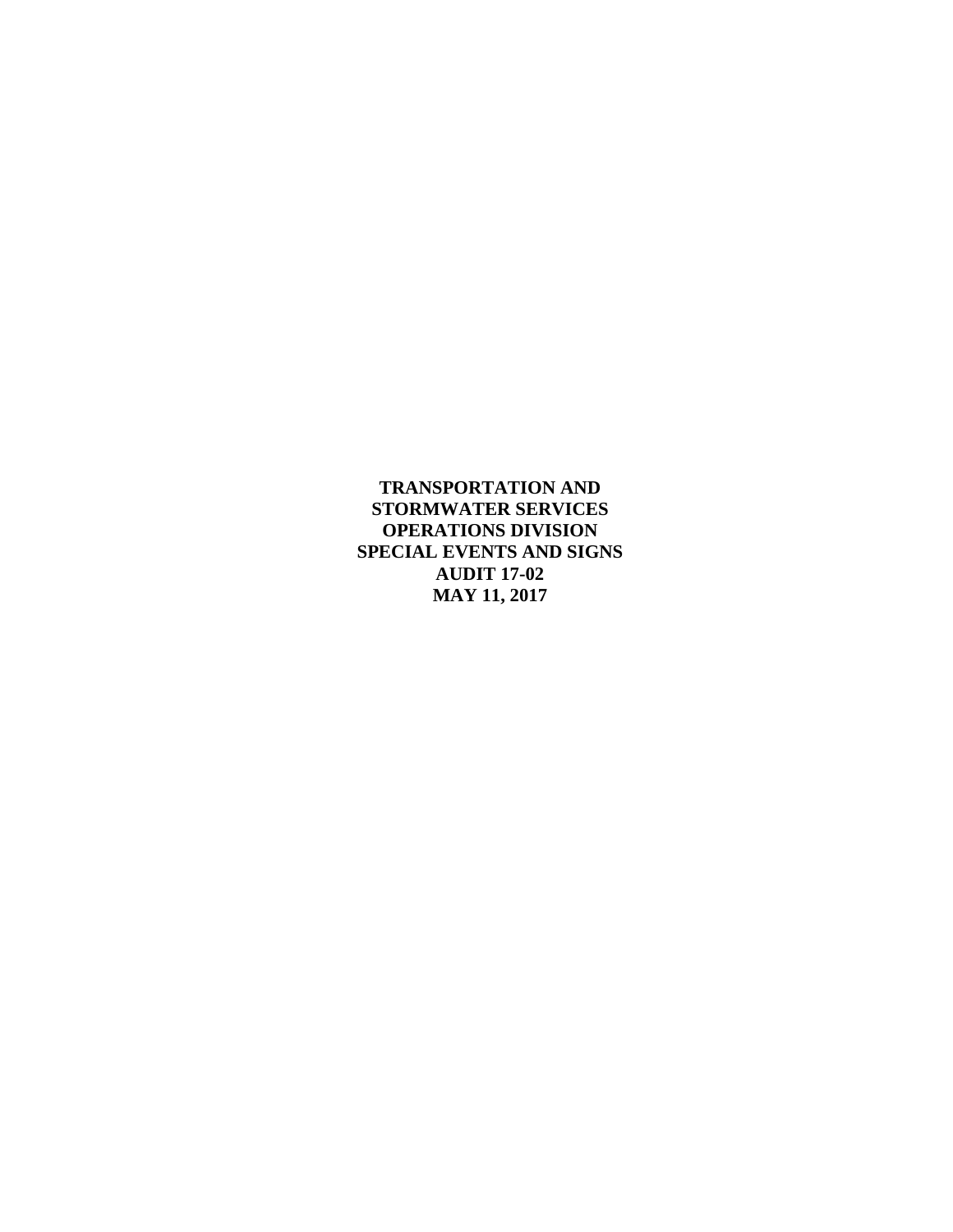**TRANSPORTATION AND STORMWATER SERVICES OPERATIONS DIVISION SPECIAL EVENTS AND SIGNS AUDIT 17-02 MAY 11, 2017**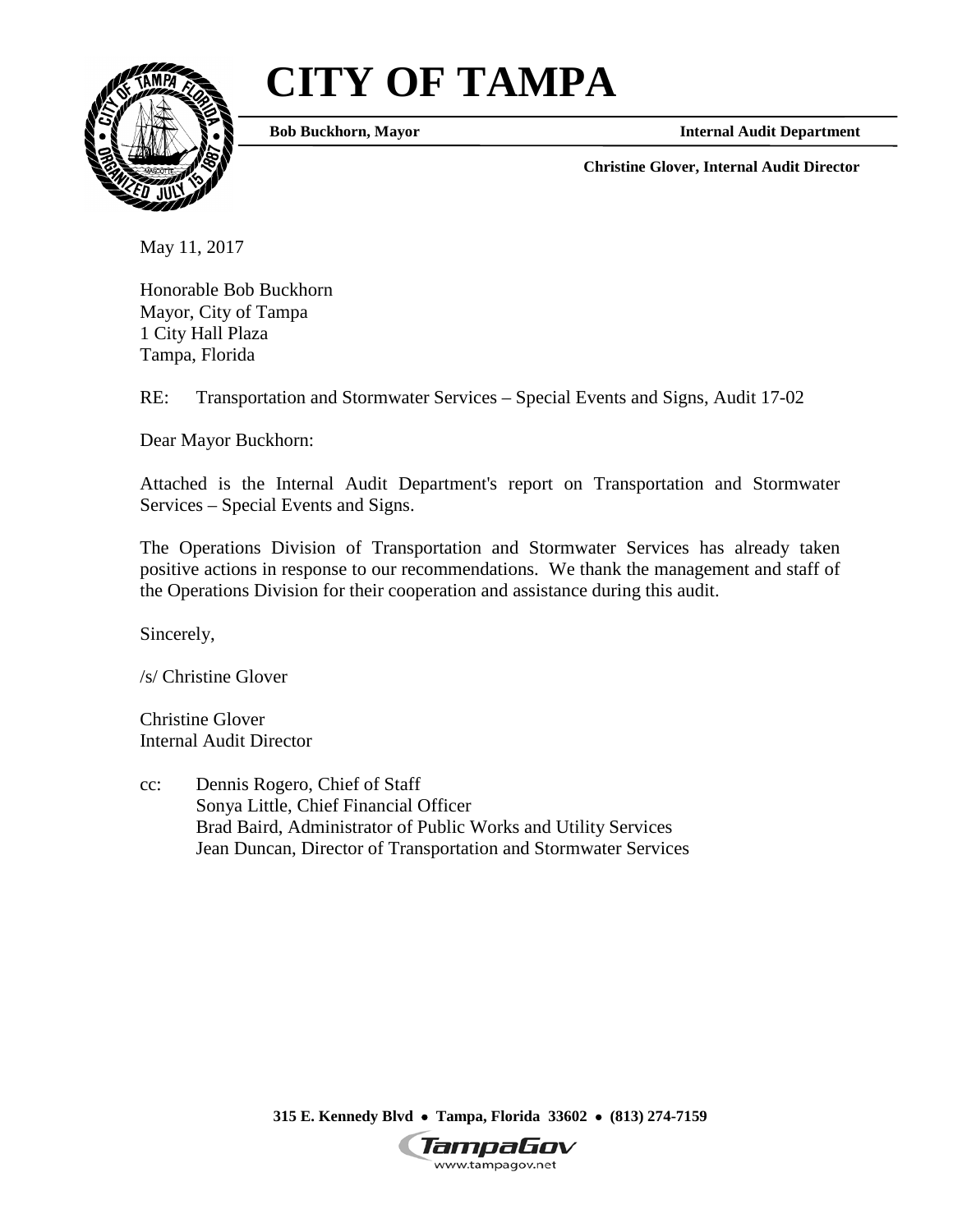# **CITY OF TAMPA**



**Bob Buckhorn, Mayor**

**Internal Audit Department**

**Christine Glover, Internal Audit Director**

May 11, 2017

Honorable Bob Buckhorn Mayor, City of Tampa 1 City Hall Plaza Tampa, Florida

RE: Transportation and Stormwater Services – Special Events and Signs, Audit 17-02

Dear Mayor Buckhorn:

Attached is the Internal Audit Department's report on Transportation and Stormwater Services – Special Events and Signs.

The Operations Division of Transportation and Stormwater Services has already taken positive actions in response to our recommendations. We thank the management and staff of the Operations Division for their cooperation and assistance during this audit.

Sincerely,

/s/ Christine Glover

Christine Glover Internal Audit Director

cc: Dennis Rogero, Chief of Staff Sonya Little, Chief Financial Officer Brad Baird, Administrator of Public Works and Utility Services Jean Duncan, Director of Transportation and Stormwater Services

**315 E. Kennedy Blvd** • **Tampa, Florida 33602** • **(813) 274-7159**

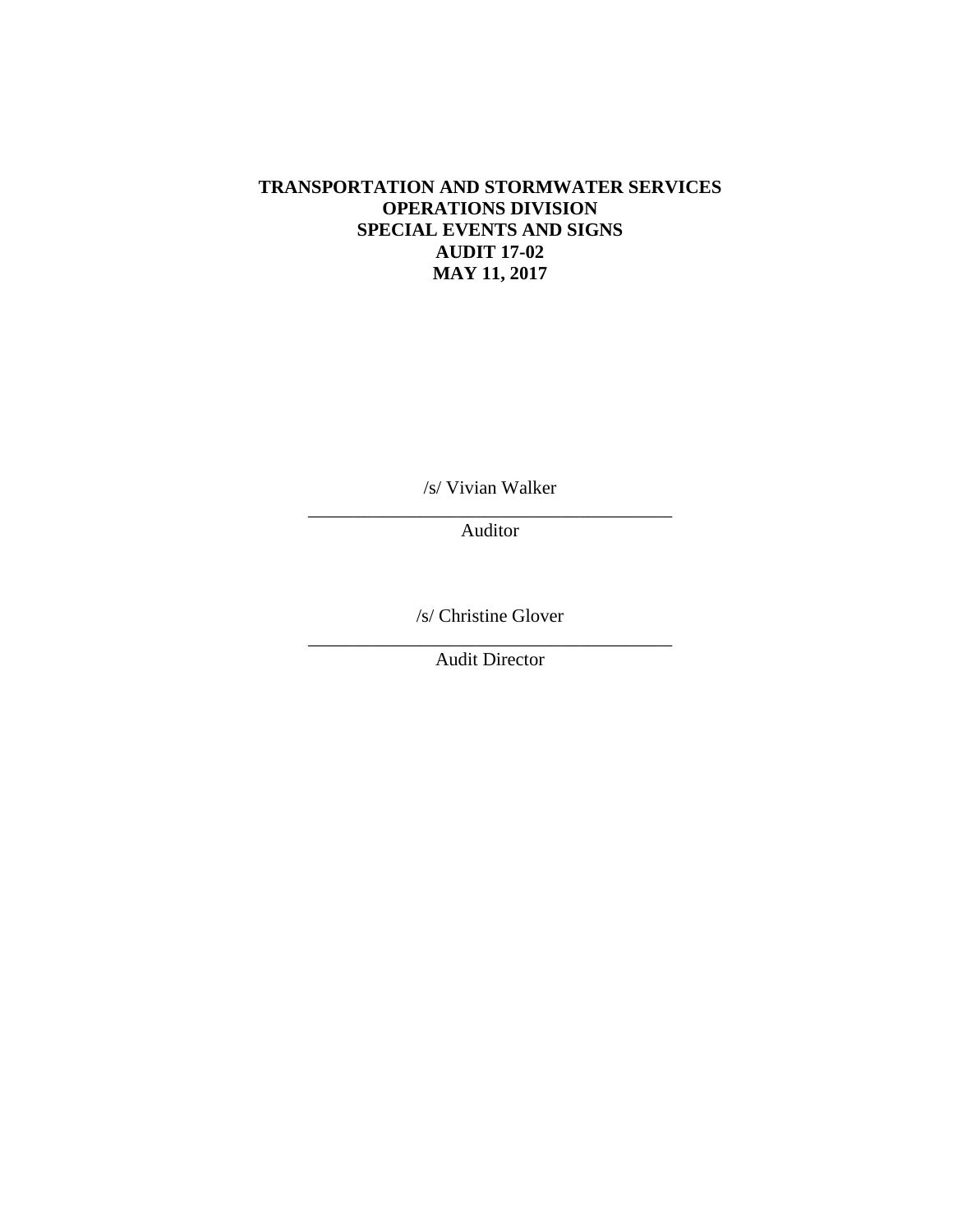#### **TRANSPORTATION AND STORMWATER SERVICES OPERATIONS DIVISION SPECIAL EVENTS AND SIGNS AUDIT 17-02 MAY 11, 2017**

/s/ Vivian Walker

\_\_\_\_\_\_\_\_\_\_\_\_\_\_\_\_\_\_\_\_\_\_\_\_\_\_\_\_\_\_\_\_\_\_\_\_\_\_\_ Auditor

/s/ Christine Glover

\_\_\_\_\_\_\_\_\_\_\_\_\_\_\_\_\_\_\_\_\_\_\_\_\_\_\_\_\_\_\_\_\_\_\_\_\_\_\_ Audit Director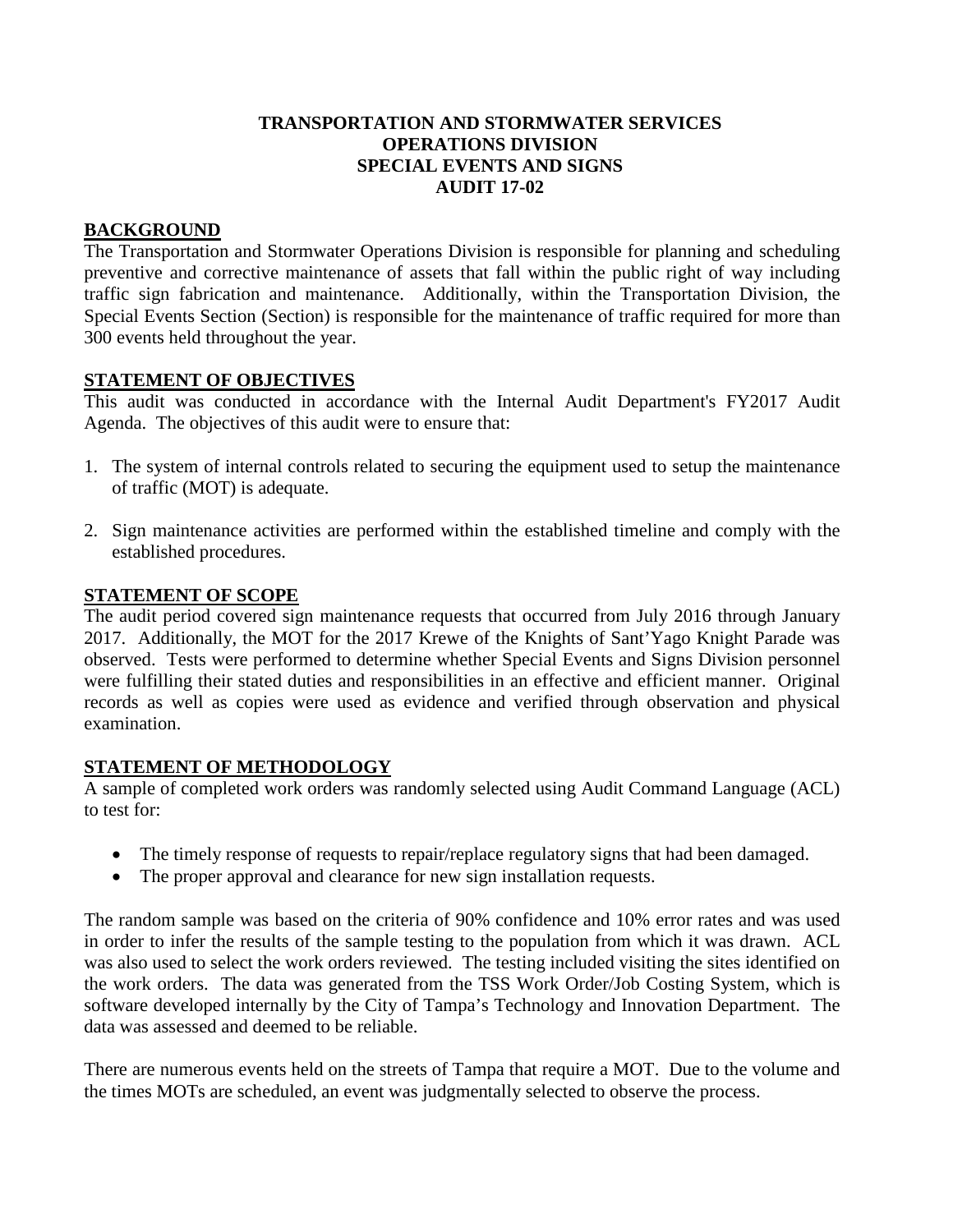#### **TRANSPORTATION AND STORMWATER SERVICES OPERATIONS DIVISION SPECIAL EVENTS AND SIGNS AUDIT 17-02**

## **BACKGROUND**

The Transportation and Stormwater Operations Division is responsible for planning and scheduling preventive and corrective maintenance of assets that fall within the public right of way including traffic sign fabrication and maintenance. Additionally, within the Transportation Division, the Special Events Section (Section) is responsible for the maintenance of traffic required for more than 300 events held throughout the year.

### **STATEMENT OF OBJECTIVES**

This audit was conducted in accordance with the Internal Audit Department's FY2017 Audit Agenda. The objectives of this audit were to ensure that:

- 1. The system of internal controls related to securing the equipment used to setup the maintenance of traffic (MOT) is adequate.
- 2. Sign maintenance activities are performed within the established timeline and comply with the established procedures.

### **STATEMENT OF SCOPE**

The audit period covered sign maintenance requests that occurred from July 2016 through January 2017. Additionally, the MOT for the 2017 Krewe of the Knights of Sant'Yago Knight Parade was observed. Tests were performed to determine whether Special Events and Signs Division personnel were fulfilling their stated duties and responsibilities in an effective and efficient manner. Original records as well as copies were used as evidence and verified through observation and physical examination.

### **STATEMENT OF METHODOLOGY**

A sample of completed work orders was randomly selected using Audit Command Language (ACL) to test for:

- The timely response of requests to repair/replace regulatory signs that had been damaged.
- The proper approval and clearance for new sign installation requests.

The random sample was based on the criteria of 90% confidence and 10% error rates and was used in order to infer the results of the sample testing to the population from which it was drawn. ACL was also used to select the work orders reviewed. The testing included visiting the sites identified on the work orders. The data was generated from the TSS Work Order/Job Costing System, which is software developed internally by the City of Tampa's Technology and Innovation Department. The data was assessed and deemed to be reliable.

There are numerous events held on the streets of Tampa that require a MOT. Due to the volume and the times MOTs are scheduled, an event was judgmentally selected to observe the process.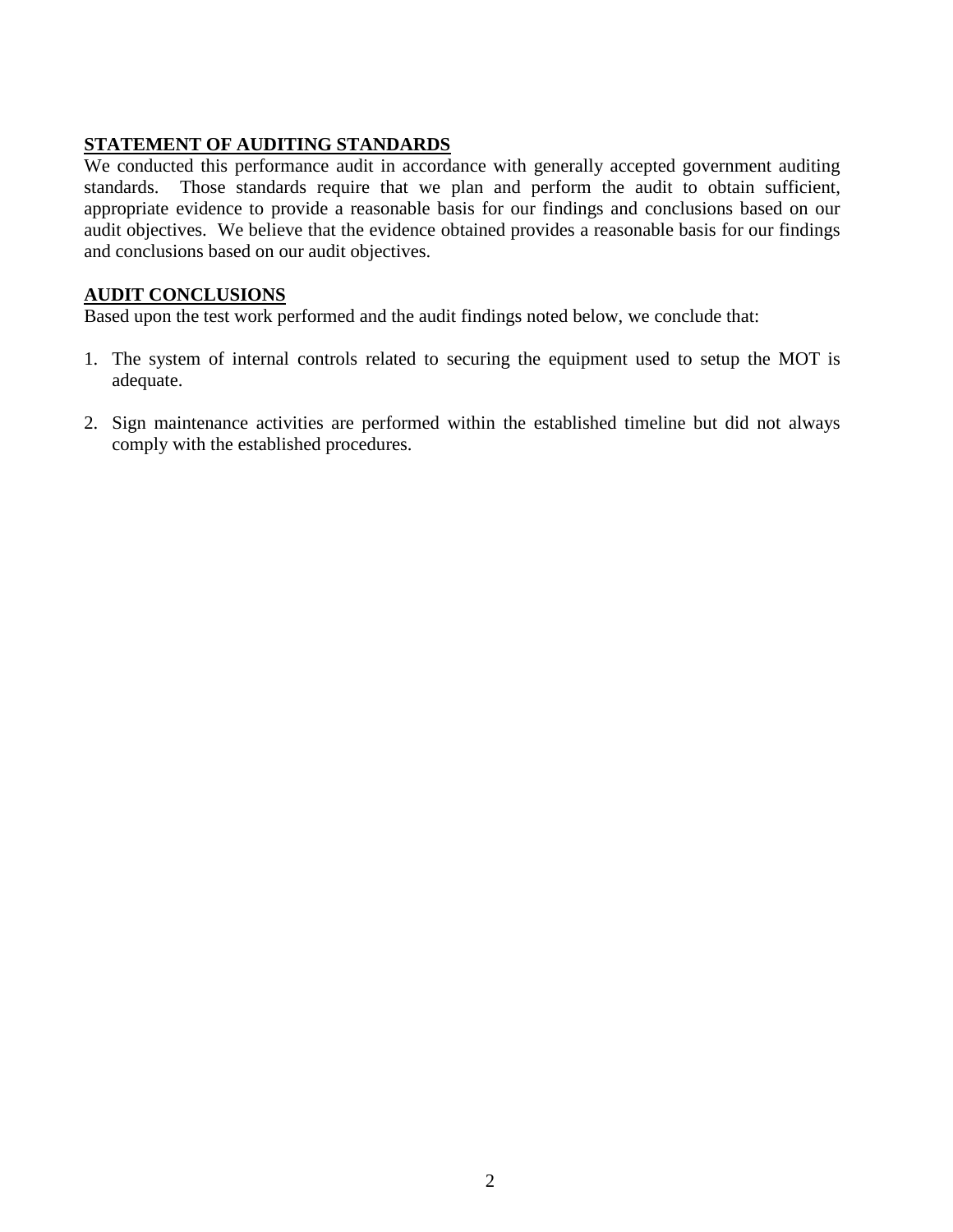# **STATEMENT OF AUDITING STANDARDS**

We conducted this performance audit in accordance with generally accepted government auditing standards. Those standards require that we plan and perform the audit to obtain sufficient, appropriate evidence to provide a reasonable basis for our findings and conclusions based on our audit objectives. We believe that the evidence obtained provides a reasonable basis for our findings and conclusions based on our audit objectives.

# **AUDIT CONCLUSIONS**

Based upon the test work performed and the audit findings noted below, we conclude that:

- 1. The system of internal controls related to securing the equipment used to setup the MOT is adequate.
- 2. Sign maintenance activities are performed within the established timeline but did not always comply with the established procedures.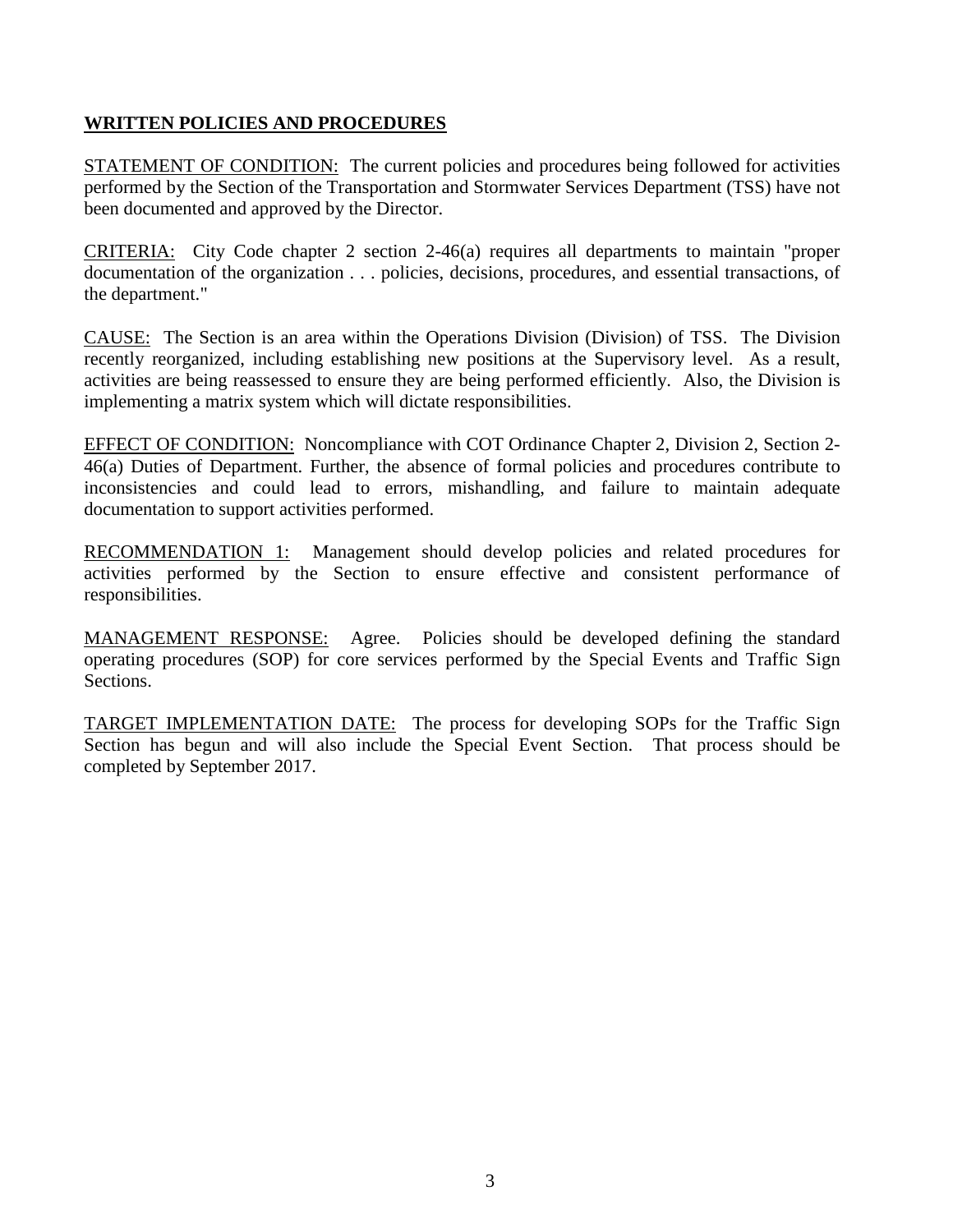# **WRITTEN POLICIES AND PROCEDURES**

STATEMENT OF CONDITION: The current policies and procedures being followed for activities performed by the Section of the Transportation and Stormwater Services Department (TSS) have not been documented and approved by the Director.

CRITERIA: City Code chapter 2 section 2-46(a) requires all departments to maintain "proper documentation of the organization . . . policies, decisions, procedures, and essential transactions, of the department."

CAUSE: The Section is an area within the Operations Division (Division) of TSS. The Division recently reorganized, including establishing new positions at the Supervisory level. As a result, activities are being reassessed to ensure they are being performed efficiently. Also, the Division is implementing a matrix system which will dictate responsibilities.

EFFECT OF CONDITION: Noncompliance with COT Ordinance Chapter 2, Division 2, Section 2- 46(a) Duties of Department. Further, the absence of formal policies and procedures contribute to inconsistencies and could lead to errors, mishandling, and failure to maintain adequate documentation to support activities performed.

RECOMMENDATION 1: Management should develop policies and related procedures for activities performed by the Section to ensure effective and consistent performance of responsibilities.

MANAGEMENT RESPONSE: Agree. Policies should be developed defining the standard operating procedures (SOP) for core services performed by the Special Events and Traffic Sign Sections.

TARGET IMPLEMENTATION DATE: The process for developing SOPs for the Traffic Sign Section has begun and will also include the Special Event Section. That process should be completed by September 2017.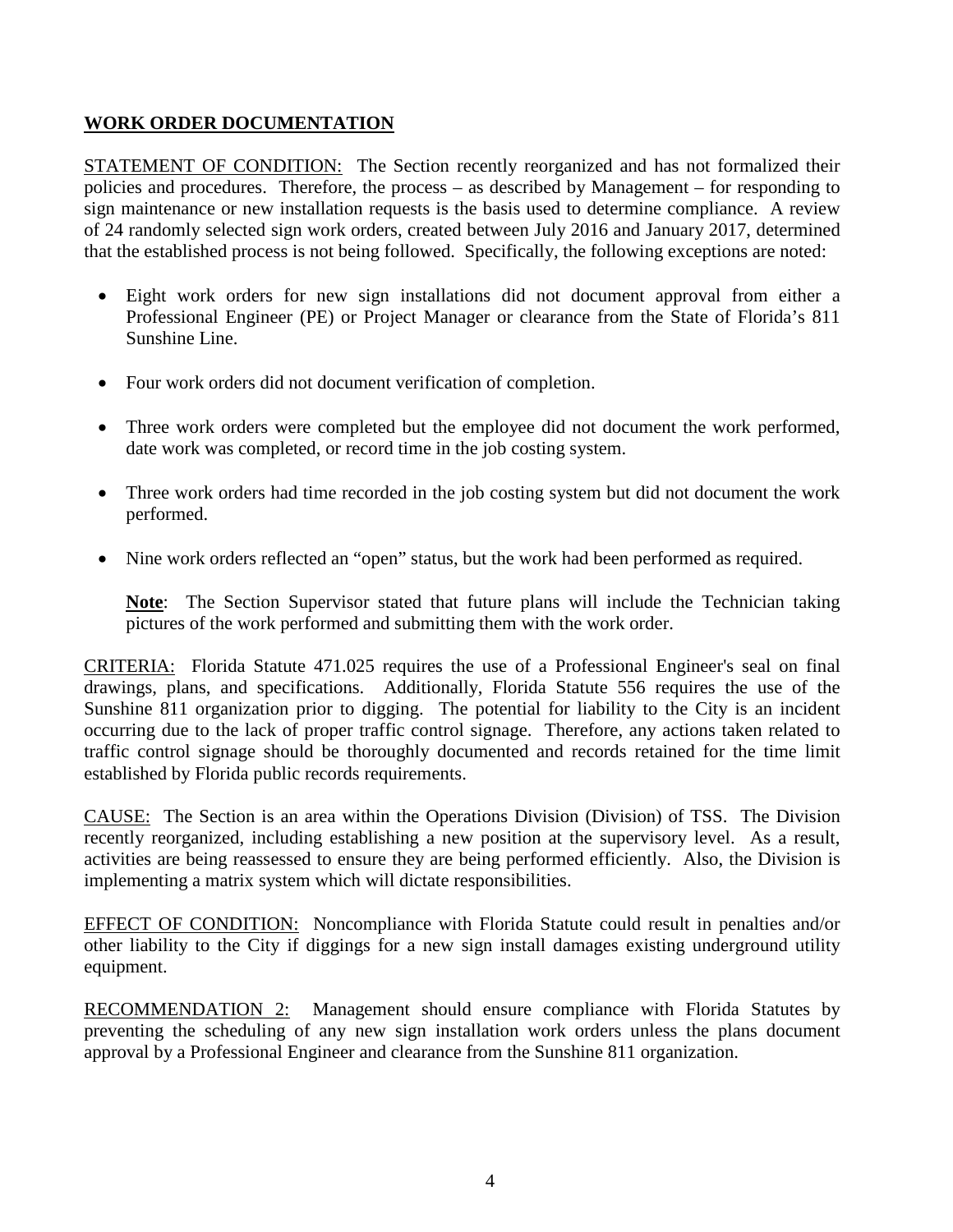## **WORK ORDER DOCUMENTATION**

STATEMENT OF CONDITION: The Section recently reorganized and has not formalized their policies and procedures. Therefore, the process – as described by Management – for responding to sign maintenance or new installation requests is the basis used to determine compliance. A review of 24 randomly selected sign work orders, created between July 2016 and January 2017, determined that the established process is not being followed. Specifically, the following exceptions are noted:

- Eight work orders for new sign installations did not document approval from either a Professional Engineer (PE) or Project Manager or clearance from the State of Florida's 811 Sunshine Line.
- Four work orders did not document verification of completion.
- Three work orders were completed but the employee did not document the work performed, date work was completed, or record time in the job costing system.
- Three work orders had time recorded in the job costing system but did not document the work performed.
- Nine work orders reflected an "open" status, but the work had been performed as required.

**Note**: The Section Supervisor stated that future plans will include the Technician taking pictures of the work performed and submitting them with the work order.

CRITERIA: Florida Statute 471.025 requires the use of a Professional Engineer's seal on final drawings, plans, and specifications. Additionally, Florida Statute 556 requires the use of the Sunshine 811 organization prior to digging. The potential for liability to the City is an incident occurring due to the lack of proper traffic control signage. Therefore, any actions taken related to traffic control signage should be thoroughly documented and records retained for the time limit established by Florida public records requirements.

CAUSE: The Section is an area within the Operations Division (Division) of TSS. The Division recently reorganized, including establishing a new position at the supervisory level. As a result, activities are being reassessed to ensure they are being performed efficiently. Also, the Division is implementing a matrix system which will dictate responsibilities.

EFFECT OF CONDITION: Noncompliance with Florida Statute could result in penalties and/or other liability to the City if diggings for a new sign install damages existing underground utility equipment.

RECOMMENDATION 2: Management should ensure compliance with Florida Statutes by preventing the scheduling of any new sign installation work orders unless the plans document approval by a Professional Engineer and clearance from the Sunshine 811 organization.